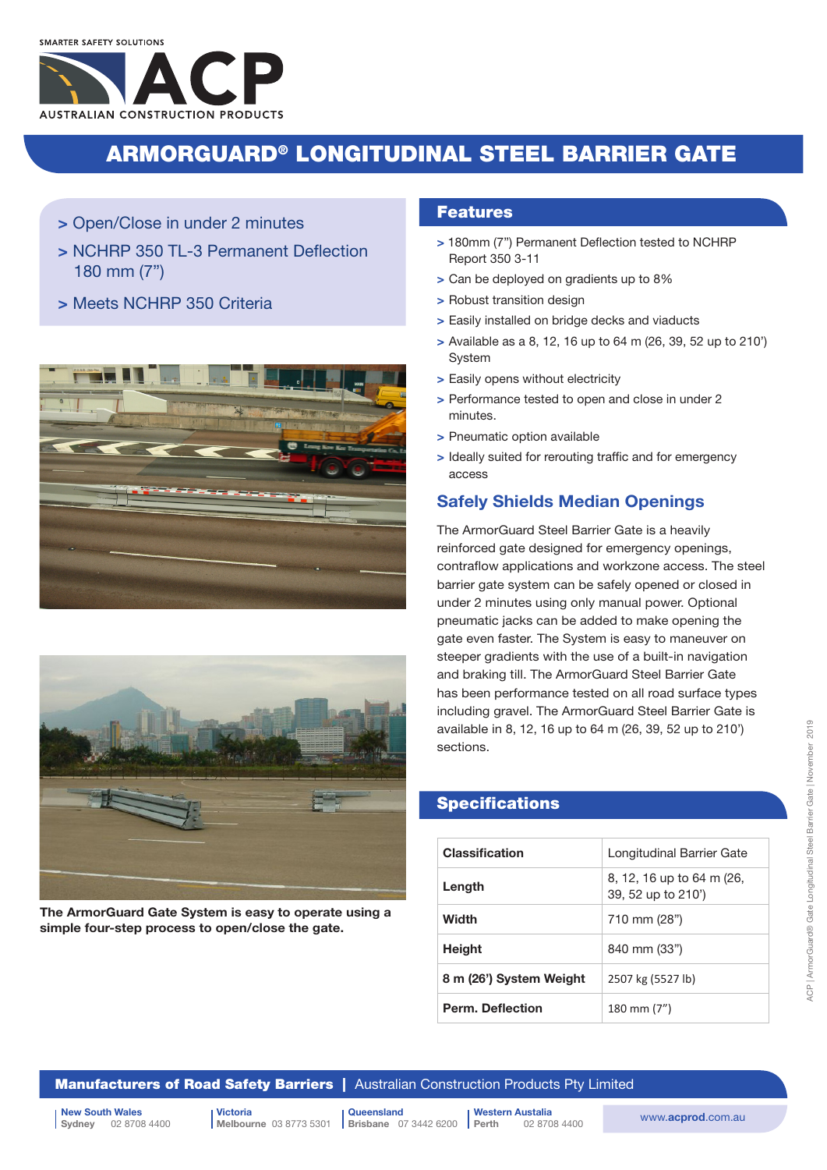## ARMORGUARD® LONGITUDINAL STEEL BARRIER GATE

- > Open/Close in under 2 minutes
- > NCHRP 350 TL-3 Permanent Deflection 180 mm (7")
- > Meets NCHRP 350 Criteria





The ArmorGuard Gate System is easy to operate using a simple four-step process to open/close the gate.

### Features

- > 180mm (7") Permanent Deflection tested to NCHRP Report 350 3-11
- > Can be deployed on gradients up to 8%
- > Robust transition design
- > Easily installed on bridge decks and viaducts
- > Available as a 8, 12, 16 up to 64 m (26, 39, 52 up to 210') System
- > Easily opens without electricity
- > Performance tested to open and close in under 2 minutes.
- > Pneumatic option available
- > Ideally suited for rerouting traffic and for emergency access

### Safely Shields Median Openings

The ArmorGuard Steel Barrier Gate is a heavily reinforced gate designed for emergency openings, contraflow applications and workzone access. The steel barrier gate system can be safely opened or closed in under 2 minutes using only manual power. Optional pneumatic jacks can be added to make opening the gate even faster. The System is easy to maneuver on steeper gradients with the use of a built-in navigation and braking till. The ArmorGuard Steel Barrier Gate has been performance tested on all road surface types including gravel. The ArmorGuard Steel Barrier Gate is available in 8, 12, 16 up to 64 m (26, 39, 52 up to 210') sections.

## **Specifications**

| <b>Classification</b>   | Longitudinal Barrier Gate                       |  |  |
|-------------------------|-------------------------------------------------|--|--|
| Length                  | 8, 12, 16 up to 64 m (26,<br>39, 52 up to 210') |  |  |
| Width                   | 710 mm (28")                                    |  |  |
| <b>Height</b>           | 840 mm (33")                                    |  |  |
| 8 m (26') System Weight | 2507 kg (5527 lb)                               |  |  |
| <b>Perm. Deflection</b> | 180 mm (7")                                     |  |  |

**Manufacturers of Road Safety Barriers | Australian Construction Products Pty Limited** 

New South Wales<br>
Sydney 02 8708 4400 <br>
Sydney 02 8708 4400 <br>
Melbourne 03 8773 5301 | Brisbane 07 3442 6200 | Perth 02 8708 4400 WWW.acprod.com.au 02 8708 4400

Victoria Melbourne 03 8773 5301 **Brisbane** 07 3442 6200

**Queensland** Western Austalia